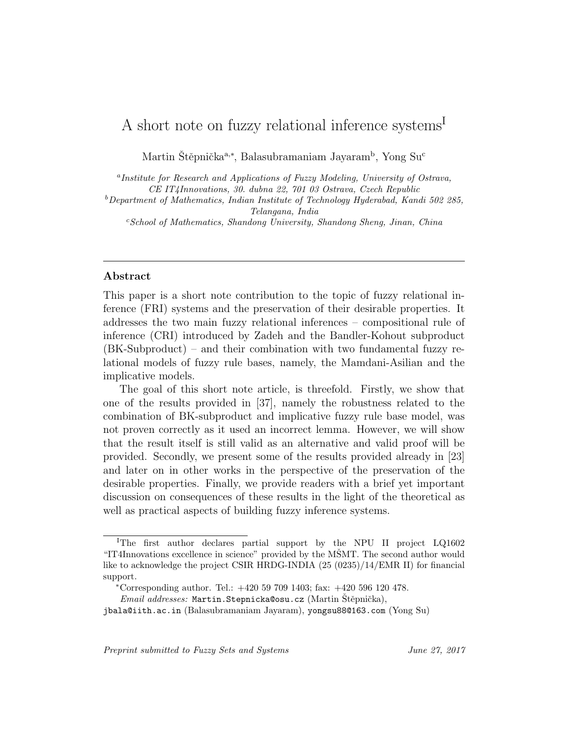# A short note on fuzzy relational inference systems<sup>1</sup>

Martin Štěpnička<sup>a,∗</sup>, Balasubramaniam Jayaram<sup>b</sup>, Yong Su<sup>c</sup>

<sup>a</sup>Institute for Research and Applications of Fuzzy Modeling, University of Ostrava, CE IT4Innovations, 30. dubna 22, 701 03 Ostrava, Czech Republic

 $b$ Department of Mathematics, Indian Institute of Technology Hyderabad, Kandi 502 285, Telangana, India

 $c-School$  of Mathematics, Shandong University, Shandong Sheng, Jinan, China

# Abstract

This paper is a short note contribution to the topic of fuzzy relational inference (FRI) systems and the preservation of their desirable properties. It addresses the two main fuzzy relational inferences – compositional rule of inference (CRI) introduced by Zadeh and the Bandler-Kohout subproduct (BK-Subproduct) – and their combination with two fundamental fuzzy relational models of fuzzy rule bases, namely, the Mamdani-Asilian and the implicative models.

The goal of this short note article, is threefold. Firstly, we show that one of the results provided in [37], namely the robustness related to the combination of BK-subproduct and implicative fuzzy rule base model, was not proven correctly as it used an incorrect lemma. However, we will show that the result itself is still valid as an alternative and valid proof will be provided. Secondly, we present some of the results provided already in [23] and later on in other works in the perspective of the preservation of the desirable properties. Finally, we provide readers with a brief yet important discussion on consequences of these results in the light of the theoretical as well as practical aspects of building fuzzy inference systems.

Preprint submitted to Fuzzy Sets and Systems June 27, 2017

<sup>I</sup>The first author declares partial support by the NPU II project LQ1602 "IT4Innovations excellence in science" provided by the MSMT. The second author would like to acknowledge the project CSIR HRDG-INDIA (25 (0235)/14/EMR II) for financial support.

<sup>∗</sup>Corresponding author. Tel.: +420 59 709 1403; fax: +420 596 120 478.

Email addresses: Martin.Stepnicka@osu.cz (Martin Štěpnička),

jbala@iith.ac.in (Balasubramaniam Jayaram), yongsu88@163.com (Yong Su)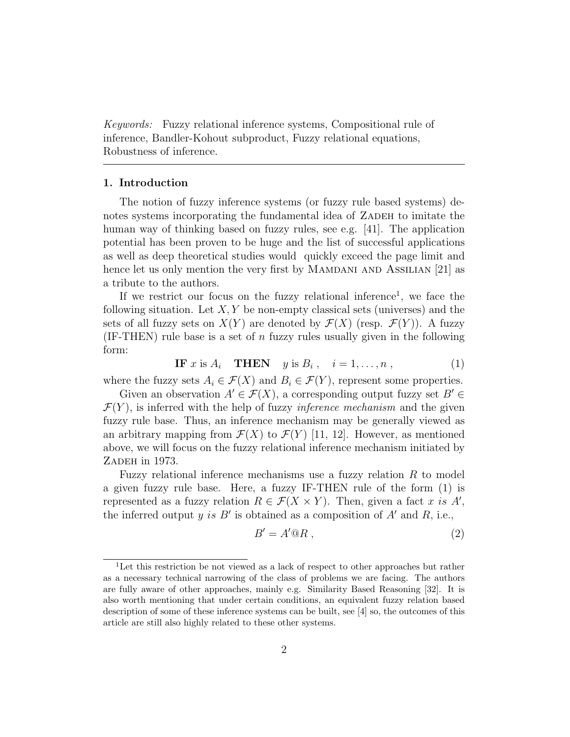Keywords: Fuzzy relational inference systems, Compositional rule of inference, Bandler-Kohout subproduct, Fuzzy relational equations, Robustness of inference.

## 1. Introduction

The notion of fuzzy inference systems (or fuzzy rule based systems) denotes systems incorporating the fundamental idea of ZADEH to imitate the human way of thinking based on fuzzy rules, see e.g. [41]. The application potential has been proven to be huge and the list of successful applications as well as deep theoretical studies would quickly exceed the page limit and hence let us only mention the very first by MAMDANI AND ASSILIAN [21] as a tribute to the authors.

If we restrict our focus on the fuzzy relational inference<sup>1</sup>, we face the following situation. Let  $X, Y$  be non-empty classical sets (universes) and the sets of all fuzzy sets on  $X(Y)$  are denoted by  $\mathcal{F}(X)$  (resp.  $\mathcal{F}(Y)$ ). A fuzzy  $(IF-THEN)$  rule base is a set of *n* fuzzy rules usually given in the following form:

**IF** x is  $A_i$  **THEN** y is  $B_i$ ,  $i = 1, ..., n$ , (1)

where the fuzzy sets  $A_i \in \mathcal{F}(X)$  and  $B_i \in \mathcal{F}(Y)$ , represent some properties.

Given an observation  $A' \in \mathcal{F}(X)$ , a corresponding output fuzzy set  $B' \in$  $\mathcal{F}(Y)$ , is inferred with the help of fuzzy *inference mechanism* and the given fuzzy rule base. Thus, an inference mechanism may be generally viewed as an arbitrary mapping from  $\mathcal{F}(X)$  to  $\mathcal{F}(Y)$  [11, 12]. However, as mentioned above, we will focus on the fuzzy relational inference mechanism initiated by ZADEH in 1973.

Fuzzy relational inference mechanisms use a fuzzy relation  $R$  to model a given fuzzy rule base. Here, a fuzzy IF-THEN rule of the form (1) is represented as a fuzzy relation  $R \in \mathcal{F}(X \times Y)$ . Then, given a fact x is A', the inferred output y is  $B'$  is obtained as a composition of  $A'$  and  $R$ , i.e.,

$$
B' = A' @R , \t\t(2)
$$

<sup>1</sup>Let this restriction be not viewed as a lack of respect to other approaches but rather as a necessary technical narrowing of the class of problems we are facing. The authors are fully aware of other approaches, mainly e.g. Similarity Based Reasoning [32]. It is also worth mentioning that under certain conditions, an equivalent fuzzy relation based description of some of these inference systems can be built, see [4] so, the outcomes of this article are still also highly related to these other systems.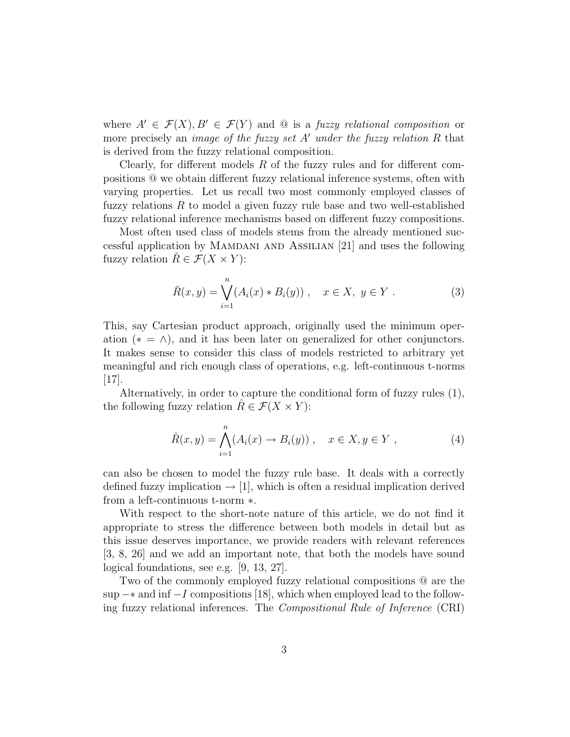where  $A' \in \mathcal{F}(X), B' \in \mathcal{F}(Y)$  and  $\mathcal Q$  is a fuzzy relational composition or more precisely an *image of the fuzzy set A' under the fuzzy relation R* that is derived from the fuzzy relational composition.

Clearly, for different models  $R$  of the fuzzy rules and for different compositions @ we obtain different fuzzy relational inference systems, often with varying properties. Let us recall two most commonly employed classes of fuzzy relations  $R$  to model a given fuzzy rule base and two well-established fuzzy relational inference mechanisms based on different fuzzy compositions.

Most often used class of models stems from the already mentioned successful application by Mamdani and Assilian [21] and uses the following fuzzy relation  $R \in \mathcal{F}(X \times Y)$ :

$$
\check{R}(x, y) = \bigvee_{i=1}^{n} (A_i(x) * B_i(y)), \quad x \in X, \ y \in Y.
$$
 (3)

This, say Cartesian product approach, originally used the minimum operation ( $* = \wedge$ ), and it has been later on generalized for other conjunctors. It makes sense to consider this class of models restricted to arbitrary yet meaningful and rich enough class of operations, e.g. left-continuous t-norms  $|17|$ .

Alternatively, in order to capture the conditional form of fuzzy rules (1), the following fuzzy relation  $R \in \mathcal{F}(X \times Y)$ :

$$
\hat{R}(x, y) = \bigwedge_{i=1}^{n} (A_i(x) \to B_i(y)), \quad x \in X, y \in Y,
$$
\n(4)

can also be chosen to model the fuzzy rule base. It deals with a correctly defined fuzzy implication  $\rightarrow$  [1], which is often a residual implication derived from a left-continuous t-norm ∗.

With respect to the short-note nature of this article, we do not find it appropriate to stress the difference between both models in detail but as this issue deserves importance, we provide readers with relevant references [3, 8, 26] and we add an important note, that both the models have sound logical foundations, see e.g. [9, 13, 27].

Two of the commonly employed fuzzy relational compositions @ are the sup  $-*$  and inf  $-I$  compositions [18], which when employed lead to the following fuzzy relational inferences. The Compositional Rule of Inference (CRI)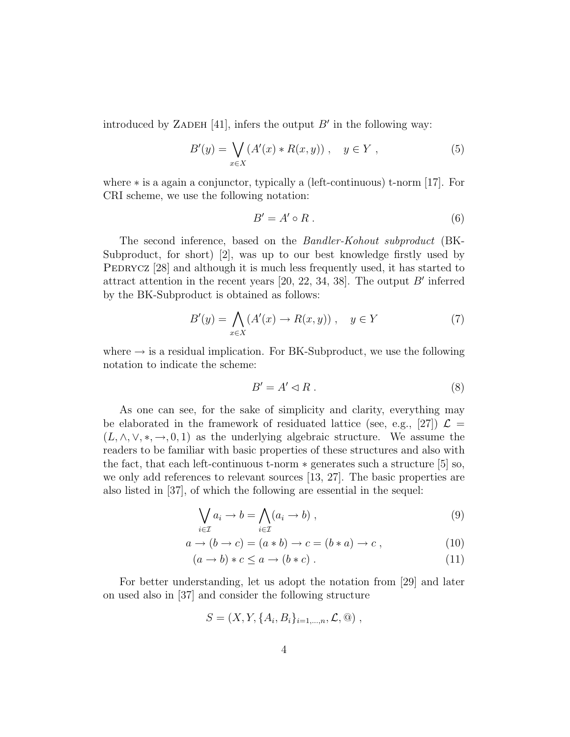introduced by ZADEH [41], infers the output  $B'$  in the following way:

$$
B'(y) = \bigvee_{x \in X} (A'(x) * R(x, y)), \quad y \in Y,
$$
 (5)

where ∗ is a again a conjunctor, typically a (left-continuous) t-norm [17]. For CRI scheme, we use the following notation:

$$
B' = A' \circ R \tag{6}
$$

The second inference, based on the Bandler-Kohout subproduct (BK-Subproduct, for short) [2], was up to our best knowledge firstly used by PEDRYCZ [28] and although it is much less frequently used, it has started to attract attention in the recent years  $[20, 22, 34, 38]$ . The output  $B'$  inferred by the BK-Subproduct is obtained as follows:

$$
B'(y) = \bigwedge_{x \in X} (A'(x) \to R(x, y)), \quad y \in Y
$$
 (7)

where  $\rightarrow$  is a residual implication. For BK-Subproduct, we use the following notation to indicate the scheme:

$$
B' = A' \lhd R \tag{8}
$$

As one can see, for the sake of simplicity and clarity, everything may be elaborated in the framework of residuated lattice (see, e.g., [27])  $\mathcal{L} =$  $(L, \wedge, \vee, *, \rightarrow, 0, 1)$  as the underlying algebraic structure. We assume the readers to be familiar with basic properties of these structures and also with the fact, that each left-continuous t-norm  $*$  generates such a structure  $|5|$  so, we only add references to relevant sources [13, 27]. The basic properties are also listed in [37], of which the following are essential in the sequel:

$$
\bigvee_{i \in \mathcal{I}} a_i \to b = \bigwedge_{i \in \mathcal{I}} (a_i \to b) , \tag{9}
$$

$$
a \to (b \to c) = (a * b) \to c = (b * a) \to c , \qquad (10)
$$

$$
(a \to b) * c \le a \to (b * c). \tag{11}
$$

For better understanding, let us adopt the notation from [29] and later on used also in [37] and consider the following structure

$$
S = (X, Y, \{A_i, B_i\}_{i=1,\dots,n}, \mathcal{L}, \mathbb{Q}) ,
$$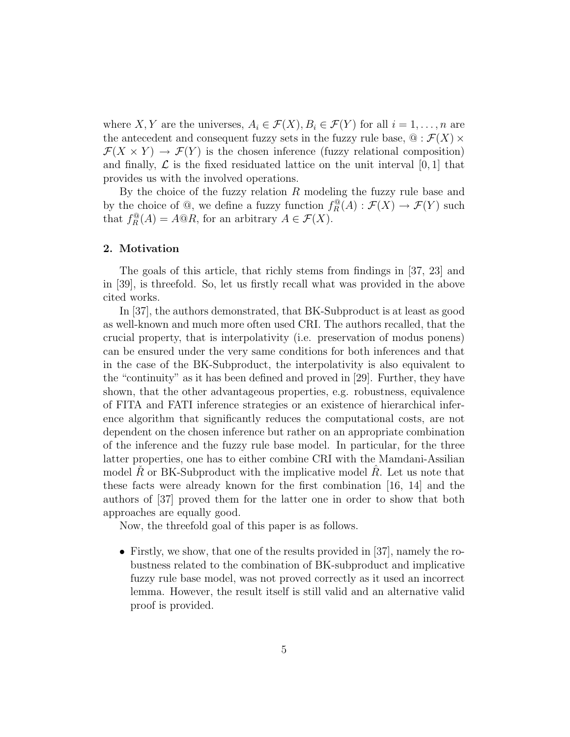where X, Y are the universes,  $A_i \in \mathcal{F}(X), B_i \in \mathcal{F}(Y)$  for all  $i = 1, \ldots, n$  are the antecedent and consequent fuzzy sets in the fuzzy rule base,  $\mathcal{Q}: \mathcal{F}(X) \times$  $\mathcal{F}(X \times Y) \to \mathcal{F}(Y)$  is the chosen inference (fuzzy relational composition) and finally,  $\mathcal L$  is the fixed residuated lattice on the unit interval  $[0, 1]$  that provides us with the involved operations.

By the choice of the fuzzy relation  $R$  modeling the fuzzy rule base and by the choice of  $\mathcal{Q}$ , we define a fuzzy function  $f_R^{\mathcal{Q}}(A) : \mathcal{F}(X) \to \mathcal{F}(Y)$  such that  $f_R^{\mathbb{Q}}(A) = A \mathbb{Q}R$ , for an arbitrary  $A \in \mathcal{F}(X)$ .

#### 2. Motivation

The goals of this article, that richly stems from findings in [37, 23] and in [39], is threefold. So, let us firstly recall what was provided in the above cited works.

In [37], the authors demonstrated, that BK-Subproduct is at least as good as well-known and much more often used CRI. The authors recalled, that the crucial property, that is interpolativity (i.e. preservation of modus ponens) can be ensured under the very same conditions for both inferences and that in the case of the BK-Subproduct, the interpolativity is also equivalent to the "continuity" as it has been defined and proved in [29]. Further, they have shown, that the other advantageous properties, e.g. robustness, equivalence of FITA and FATI inference strategies or an existence of hierarchical inference algorithm that significantly reduces the computational costs, are not dependent on the chosen inference but rather on an appropriate combination of the inference and the fuzzy rule base model. In particular, for the three latter properties, one has to either combine CRI with the Mamdani-Assilian model R or BK-Subproduct with the implicative model R. Let us note that these facts were already known for the first combination [16, 14] and the authors of [37] proved them for the latter one in order to show that both approaches are equally good.

Now, the threefold goal of this paper is as follows.

• Firstly, we show, that one of the results provided in [37], namely the robustness related to the combination of BK-subproduct and implicative fuzzy rule base model, was not proved correctly as it used an incorrect lemma. However, the result itself is still valid and an alternative valid proof is provided.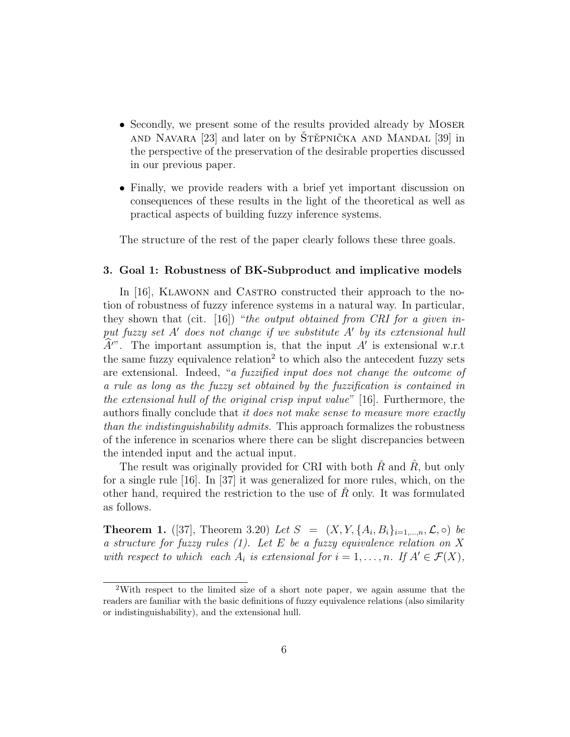- Secondly, we present some of the results provided already by MOSER and Navara  $[23]$  and later on by Stěpnička and Mandal  $[39]$  in the perspective of the preservation of the desirable properties discussed in our previous paper.
- Finally, we provide readers with a brief yet important discussion on consequences of these results in the light of the theoretical as well as practical aspects of building fuzzy inference systems.

The structure of the rest of the paper clearly follows these three goals.

#### 3. Goal 1: Robustness of BK-Subproduct and implicative models

In [16], KLAWONN and CASTRO constructed their approach to the notion of robustness of fuzzy inference systems in a natural way. In particular, they shown that (cit.  $[16]$ ) "the output obtained from CRI for a given input fuzzy set  $A'$  does not change if we substitute  $A'$  by its extensional hull  $\hat{A}$ ". The important assumption is, that the input A' is extensional w.r.t the same fuzzy equivalence relation<sup>2</sup> to which also the antecedent fuzzy sets are extensional. Indeed, "a fuzzified input does not change the outcome of a rule as long as the fuzzy set obtained by the fuzzification is contained in the extensional hull of the original crisp input value" [16]. Furthermore, the authors finally conclude that it does not make sense to measure more exactly than the indistinguishability admits. This approach formalizes the robustness of the inference in scenarios where there can be slight discrepancies between the intended input and the actual input.

The result was originally provided for CRI with both  $\tilde{R}$  and  $\tilde{R}$ , but only for a single rule [16]. In [37] it was generalized for more rules, which, on the other hand, required the restriction to the use of  $R$  only. It was formulated as follows.

**Theorem 1.** ([37], Theorem 3.20) Let  $S = (X, Y, \{A_i, B_i\}_{i=1,\dots,n}, \mathcal{L}, \circ)$  be a structure for fuzzy rules  $(1)$ . Let E be a fuzzy equivalence relation on X with respect to which each  $A_i$  is extensional for  $i = 1, \ldots, n$ . If  $A' \in \mathcal{F}(X)$ ,

<sup>2</sup>With respect to the limited size of a short note paper, we again assume that the readers are familiar with the basic definitions of fuzzy equivalence relations (also similarity or indistinguishability), and the extensional hull.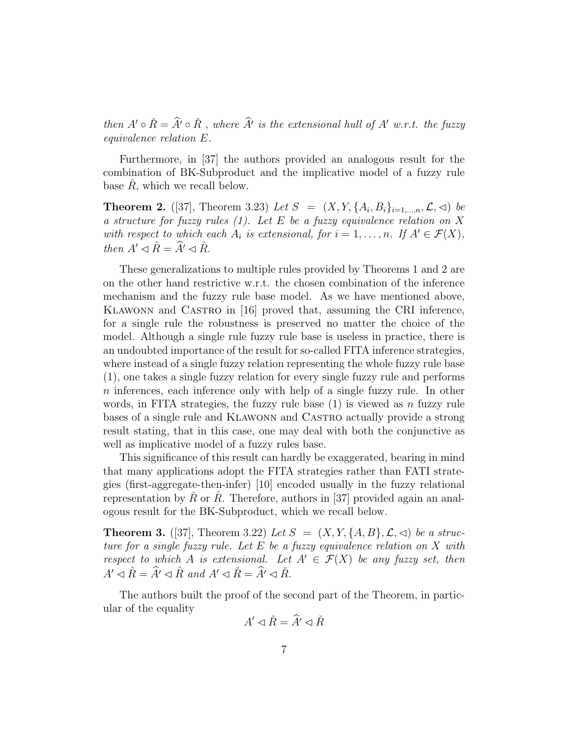then  $A' \circ \check{R} = \hat{A'} \circ \check{R}$ , where  $\hat{A'}$  is the extensional hull of  $A'$  w.r.t. the fuzzy equivalence relation E.

Furthermore, in [37] the authors provided an analogous result for the combination of BK-Subproduct and the implicative model of a fuzzy rule base  $\hat{R}$ , which we recall below.

**Theorem 2.** ([37], Theorem 3.23) Let  $S = (X, Y, \{A_i, B_i\}_{i=1,\dots,n}, \mathcal{L}, \lhd)$  be a structure for fuzzy rules  $(1)$ . Let E be a fuzzy equivalence relation on X with respect to which each  $A_i$  is extensional, for  $i = 1, \ldots, n$ . If  $A' \in \mathcal{F}(X)$ , then  $A' \lhd \hat{R} = \hat{A}' \lhd \hat{R}$ .

These generalizations to multiple rules provided by Theorems 1 and 2 are on the other hand restrictive w.r.t. the chosen combination of the inference mechanism and the fuzzy rule base model. As we have mentioned above, Klawonn and Castro in [16] proved that, assuming the CRI inference, for a single rule the robustness is preserved no matter the choice of the model. Although a single rule fuzzy rule base is useless in practice, there is an undoubted importance of the result for so-called FITA inference strategies, where instead of a single fuzzy relation representing the whole fuzzy rule base (1), one takes a single fuzzy relation for every single fuzzy rule and performs n inferences, each inference only with help of a single fuzzy rule. In other words, in FITA strategies, the fuzzy rule base  $(1)$  is viewed as n fuzzy rule bases of a single rule and Klawonn and Castro actually provide a strong result stating, that in this case, one may deal with both the conjunctive as well as implicative model of a fuzzy rules base.

This significance of this result can hardly be exaggerated, bearing in mind that many applications adopt the FITA strategies rather than FATI strategies (first-aggregate-then-infer) [10] encoded usually in the fuzzy relational representation by R or R. Therefore, authors in [37] provided again an analogous result for the BK-Subproduct, which we recall below.

**Theorem 3.** ([37], Theorem 3.22) Let  $S = (X, Y, \{A, B\}, \mathcal{L}, \triangleleft)$  be a structure for a single fuzzy rule. Let  $E$  be a fuzzy equivalence relation on  $X$  with respect to which A is extensional. Let  $A' \in \mathcal{F}(X)$  be any fuzzy set, then  $A' \triangleleft \hat{R} = \hat{A'} \triangleleft \hat{R}$  and  $A' \triangleleft \check{R} = \hat{A'} \triangleleft \check{R}$ .

The authors built the proof of the second part of the Theorem, in particular of the equality

$$
A' \lhd \check{R} = \widehat{A}' \lhd \check{R}
$$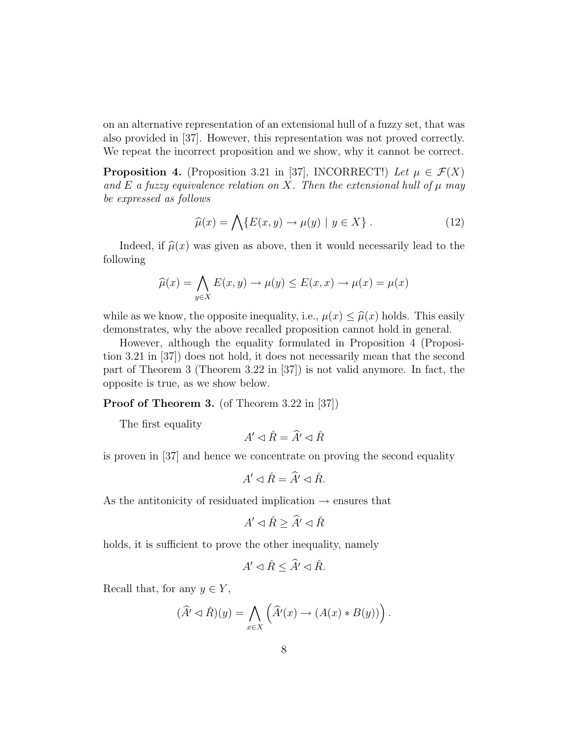on an alternative representation of an extensional hull of a fuzzy set, that was also provided in [37]. However, this representation was not proved correctly. We repeat the incorrect proposition and we show, why it cannot be correct.

**Proposition 4.** (Proposition 3.21 in [37], INCORRECT!) Let  $\mu \in \mathcal{F}(X)$ and E a fuzzy equivalence relation on X. Then the extensional hull of  $\mu$  may be expressed as follows

$$
\widehat{\mu}(x) = \bigwedge \{ E(x, y) \to \mu(y) \mid y \in X \} . \tag{12}
$$

Indeed, if  $\hat{\mu}(x)$  was given as above, then it would necessarily lead to the following

$$
\widehat{\mu}(x) = \bigwedge_{y \in X} E(x, y) \to \mu(y) \le E(x, x) \to \mu(x) = \mu(x)
$$

while as we know, the opposite inequality, i.e.,  $\mu(x) \leq \hat{\mu}(x)$  holds. This easily demonstrates, why the above recalled proposition cannot hold in general.

However, although the equality formulated in Proposition 4 (Proposition 3.21 in [37]) does not hold, it does not necessarily mean that the second part of Theorem 3 (Theorem 3.22 in [37]) is not valid anymore. In fact, the opposite is true, as we show below.

Proof of Theorem 3. (of Theorem 3.22 in [37])

The first equality

 $A' \lhd \hat{R} = \hat{A'} \lhd \hat{R}$ 

is proven in [37] and hence we concentrate on proving the second equality

$$
A' \lhd \check{R} = \widehat{A}' \lhd \check{R}.
$$

As the antitonicity of residuated implication  $\rightarrow$  ensures that

$$
A' \lhd \check{R} \ge \widehat{A}' \lhd \check{R}
$$

holds, it is sufficient to prove the other inequality, namely

$$
A' \lhd \check{R} \leq \widehat{A}' \lhd \check{R}.
$$

Recall that, for any  $y \in Y$ ,

$$
(\widehat{A}' \lhd \check{R})(y) = \bigwedge_{x \in X} \left( \widehat{A}'(x) \to (A(x) * B(y)) \right).
$$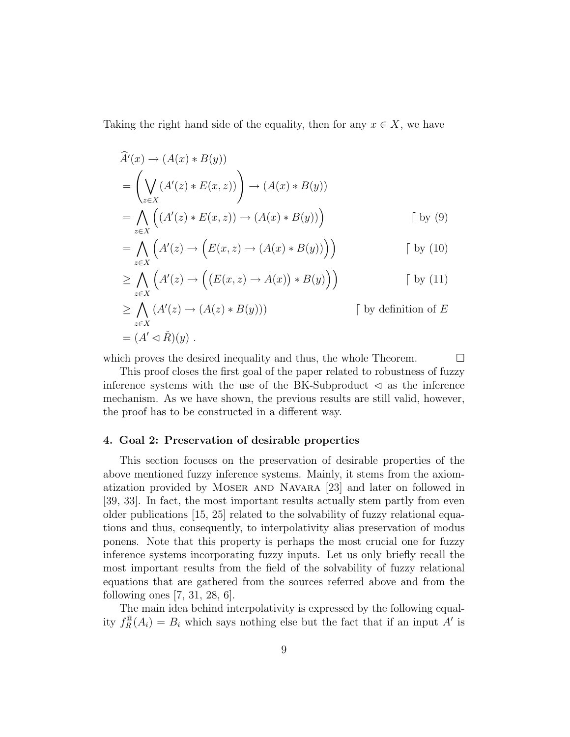Taking the right hand side of the equality, then for any  $x \in X$ , we have

$$
\widehat{A}'(x) \to (A(x) * B(y))
$$
\n
$$
= \left(\bigvee_{z \in X} (A'(z) * E(x, z))\right) \to (A(x) * B(y))
$$
\n
$$
= \bigwedge_{z \in X} \left((A'(z) * E(x, z)) \to (A(x) * B(y))\right) \qquad \qquad [by (9)]
$$

$$
= \bigwedge_{z \in X} \Big( A'(z) \to \Big( E(x, z) \to (A(x) * B(y)) \Big) \Big) \qquad \qquad \text{[by (10)}
$$

$$
\geq \bigwedge_{z \in X} \Big( A'(z) \to \Big( \big( E(x, z) \to A(x) \big) * B(y) \Big) \Big) \qquad \qquad \text{[by (11)}
$$

$$
\geq \bigwedge_{z \in X} (A'(z) \to (A(z) * B(y))) \qquad \qquad \text{[ by definition of } E
$$
  
=  $(A' \lhd \check{R})(y)$ .

which proves the desired inequality and thus, the whole Theorem.  $\Box$ 

This proof closes the first goal of the paper related to robustness of fuzzy inference systems with the use of the BK-Subproduct  $\leq$  as the inference mechanism. As we have shown, the previous results are still valid, however, the proof has to be constructed in a different way.

## 4. Goal 2: Preservation of desirable properties

This section focuses on the preservation of desirable properties of the above mentioned fuzzy inference systems. Mainly, it stems from the axiomatization provided by Moser and Navara [23] and later on followed in [39, 33]. In fact, the most important results actually stem partly from even older publications [15, 25] related to the solvability of fuzzy relational equations and thus, consequently, to interpolativity alias preservation of modus ponens. Note that this property is perhaps the most crucial one for fuzzy inference systems incorporating fuzzy inputs. Let us only briefly recall the most important results from the field of the solvability of fuzzy relational equations that are gathered from the sources referred above and from the following ones [7, 31, 28, 6].

The main idea behind interpolativity is expressed by the following equality  $f_R^{\mathbb{Q}}(A_i) = B_i$  which says nothing else but the fact that if an input A' is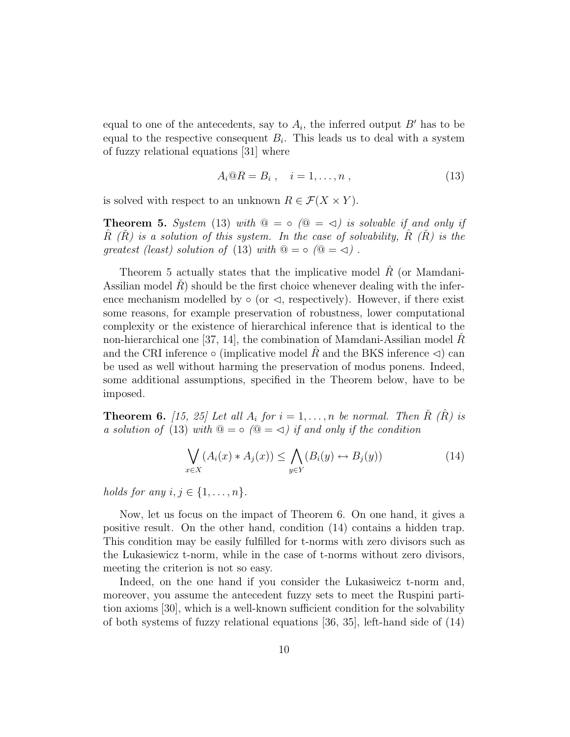equal to one of the antecedents, say to  $A_i$ , the inferred output  $B'$  has to be equal to the respective consequent  $B_i$ . This leads us to deal with a system of fuzzy relational equations [31] where

$$
A_i @ R = B_i , \quad i = 1, \dots, n , \tag{13}
$$

is solved with respect to an unknown  $R \in \mathcal{F}(X \times Y)$ .

**Theorem 5.** System (13) with  $\mathbb{Q} = \circ (\mathbb{Q} = \leq)$  is solvable if and only if R  $(R)$  is a solution of this system. In the case of solvability, R  $(R)$  is the greatest (least) solution of (13) with  $\mathcal{Q} = \circ (\mathcal{Q} = \triangleleft)$ .

Theorem 5 actually states that the implicative model  $R$  (or Mamdani-Assilian model  $R$ ) should be the first choice whenever dealing with the inference mechanism modelled by  $\circ$  (or  $\triangleleft$ , respectively). However, if there exist some reasons, for example preservation of robustness, lower computational complexity or the existence of hierarchical inference that is identical to the non-hierarchical one [37, 14], the combination of Mamdani-Assilian model  $\check{R}$ and the CRI inference  $\circ$  (implicative model R and the BKS inference  $\triangleleft$ ) can be used as well without harming the preservation of modus ponens. Indeed, some additional assumptions, specified in the Theorem below, have to be imposed.

**Theorem 6.** [15, 25] Let all  $A_i$  for  $i = 1, \ldots, n$  be normal. Then  $\tilde{R}$  ( $\tilde{R}$ ) is a solution of (13) with  $\mathbb{Q} = \circ (\mathbb{Q} = \triangleleft)$  if and only if the condition

$$
\bigvee_{x \in X} (A_i(x) * A_j(x)) \le \bigwedge_{y \in Y} (B_i(y) \leftrightarrow B_j(y)) \tag{14}
$$

holds for any  $i, j \in \{1, \ldots, n\}.$ 

Now, let us focus on the impact of Theorem 6. On one hand, it gives a positive result. On the other hand, condition (14) contains a hidden trap. This condition may be easily fulfilled for t-norms with zero divisors such as the Lukasiewicz t-norm, while in the case of t-norms without zero divisors, meeting the criterion is not so easy.

Indeed, on the one hand if you consider the Lukasiweicz t-norm and, moreover, you assume the antecedent fuzzy sets to meet the Ruspini partition axioms [30], which is a well-known sufficient condition for the solvability of both systems of fuzzy relational equations [36, 35], left-hand side of (14)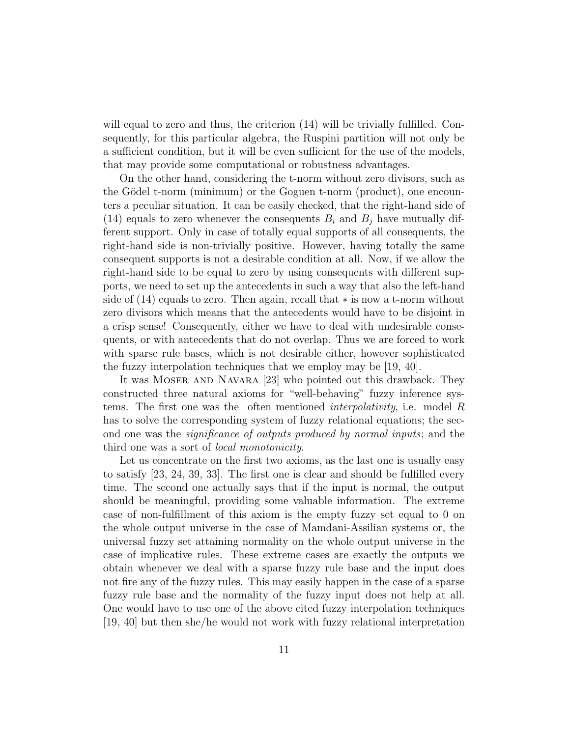will equal to zero and thus, the criterion  $(14)$  will be trivially fulfilled. Consequently, for this particular algebra, the Ruspini partition will not only be a sufficient condition, but it will be even sufficient for the use of the models, that may provide some computational or robustness advantages.

On the other hand, considering the t-norm without zero divisors, such as the Gödel t-norm (minimum) or the Goguen t-norm (product), one encounters a peculiar situation. It can be easily checked, that the right-hand side of (14) equals to zero whenever the consequents  $B_i$  and  $B_j$  have mutually different support. Only in case of totally equal supports of all consequents, the right-hand side is non-trivially positive. However, having totally the same consequent supports is not a desirable condition at all. Now, if we allow the right-hand side to be equal to zero by using consequents with different supports, we need to set up the antecedents in such a way that also the left-hand side of (14) equals to zero. Then again, recall that ∗ is now a t-norm without zero divisors which means that the antecedents would have to be disjoint in a crisp sense! Consequently, either we have to deal with undesirable consequents, or with antecedents that do not overlap. Thus we are forced to work with sparse rule bases, which is not desirable either, however sophisticated the fuzzy interpolation techniques that we employ may be [19, 40].

It was Moser and Navara [23] who pointed out this drawback. They constructed three natural axioms for "well-behaving" fuzzy inference systems. The first one was the often mentioned interpolativity, i.e. model R has to solve the corresponding system of fuzzy relational equations; the second one was the significance of outputs produced by normal inputs; and the third one was a sort of local monotonicity.

Let us concentrate on the first two axioms, as the last one is usually easy to satisfy [23, 24, 39, 33]. The first one is clear and should be fulfilled every time. The second one actually says that if the input is normal, the output should be meaningful, providing some valuable information. The extreme case of non-fulfillment of this axiom is the empty fuzzy set equal to 0 on the whole output universe in the case of Mamdani-Assilian systems or, the universal fuzzy set attaining normality on the whole output universe in the case of implicative rules. These extreme cases are exactly the outputs we obtain whenever we deal with a sparse fuzzy rule base and the input does not fire any of the fuzzy rules. This may easily happen in the case of a sparse fuzzy rule base and the normality of the fuzzy input does not help at all. One would have to use one of the above cited fuzzy interpolation techniques [19, 40] but then she/he would not work with fuzzy relational interpretation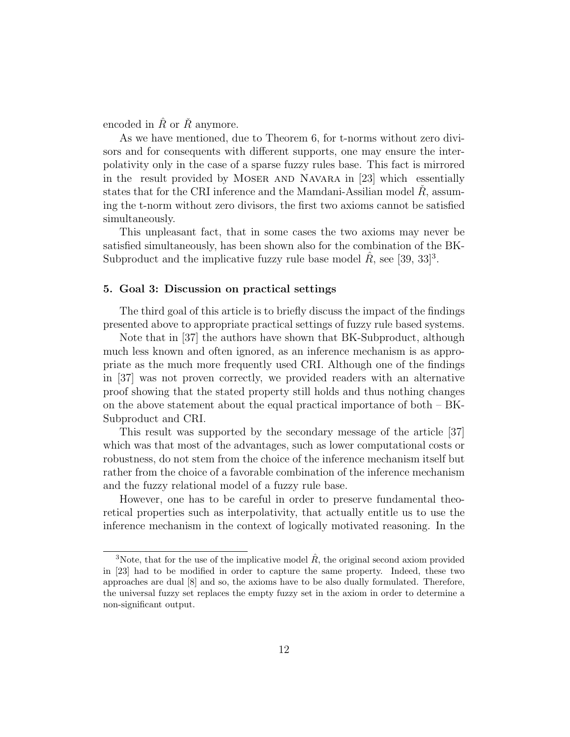encoded in  $\hat{R}$  or  $\hat{R}$  anymore.

As we have mentioned, due to Theorem 6, for t-norms without zero divisors and for consequents with different supports, one may ensure the interpolativity only in the case of a sparse fuzzy rules base. This fact is mirrored in the result provided by MOSER AND NAVARA in [23] which essentially states that for the CRI inference and the Mamdani-Assilian model  $R$ , assuming the t-norm without zero divisors, the first two axioms cannot be satisfied simultaneously.

This unpleasant fact, that in some cases the two axioms may never be satisfied simultaneously, has been shown also for the combination of the BK-Subproduct and the implicative fuzzy rule base model  $\hat{R}$ , see [39, 33]<sup>3</sup>.

# 5. Goal 3: Discussion on practical settings

The third goal of this article is to briefly discuss the impact of the findings presented above to appropriate practical settings of fuzzy rule based systems.

Note that in [37] the authors have shown that BK-Subproduct, although much less known and often ignored, as an inference mechanism is as appropriate as the much more frequently used CRI. Although one of the findings in [37] was not proven correctly, we provided readers with an alternative proof showing that the stated property still holds and thus nothing changes on the above statement about the equal practical importance of both – BK-Subproduct and CRI.

This result was supported by the secondary message of the article [37] which was that most of the advantages, such as lower computational costs or robustness, do not stem from the choice of the inference mechanism itself but rather from the choice of a favorable combination of the inference mechanism and the fuzzy relational model of a fuzzy rule base.

However, one has to be careful in order to preserve fundamental theoretical properties such as interpolativity, that actually entitle us to use the inference mechanism in the context of logically motivated reasoning. In the

<sup>&</sup>lt;sup>3</sup>Note, that for the use of the implicative model  $\hat{R}$ , the original second axiom provided in [23] had to be modified in order to capture the same property. Indeed, these two approaches are dual [8] and so, the axioms have to be also dually formulated. Therefore, the universal fuzzy set replaces the empty fuzzy set in the axiom in order to determine a non-significant output.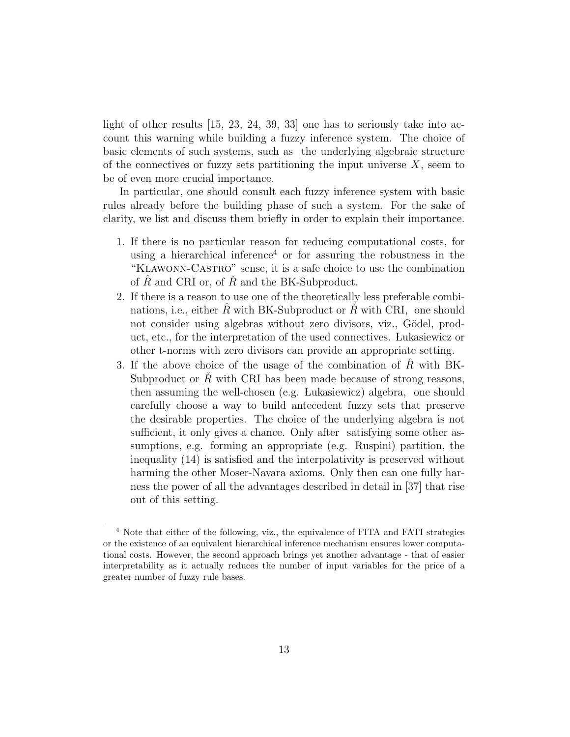light of other results [15, 23, 24, 39, 33] one has to seriously take into account this warning while building a fuzzy inference system. The choice of basic elements of such systems, such as the underlying algebraic structure of the connectives or fuzzy sets partitioning the input universe  $X$ , seem to be of even more crucial importance.

In particular, one should consult each fuzzy inference system with basic rules already before the building phase of such a system. For the sake of clarity, we list and discuss them briefly in order to explain their importance.

- 1. If there is no particular reason for reducing computational costs, for using a hierarchical inference<sup>4</sup> or for assuring the robustness in the "Klawonn-Castro" sense, it is a safe choice to use the combination of  $\hat{R}$  and CRI or, of  $\check{R}$  and the BK-Subproduct.
- 2. If there is a reason to use one of the theoretically less preferable combinations, i.e., either R with BK-Subproduct or R with CRI, one should not consider using algebras without zero divisors, viz., Gödel, product, etc., for the interpretation of the used connectives. Lukasiewicz or other t-norms with zero divisors can provide an appropriate setting.
- 3. If the above choice of the usage of the combination of  $R$  with BK-Subproduct or  $\tilde{R}$  with CRI has been made because of strong reasons, then assuming the well-chosen (e.g. Lukasiewicz) algebra, one should carefully choose a way to build antecedent fuzzy sets that preserve the desirable properties. The choice of the underlying algebra is not sufficient, it only gives a chance. Only after satisfying some other assumptions, e.g. forming an appropriate (e.g. Ruspini) partition, the inequality (14) is satisfied and the interpolativity is preserved without harming the other Moser-Navara axioms. Only then can one fully harness the power of all the advantages described in detail in [37] that rise out of this setting.

<sup>4</sup> Note that either of the following, viz., the equivalence of FITA and FATI strategies or the existence of an equivalent hierarchical inference mechanism ensures lower computational costs. However, the second approach brings yet another advantage - that of easier interpretability as it actually reduces the number of input variables for the price of a greater number of fuzzy rule bases.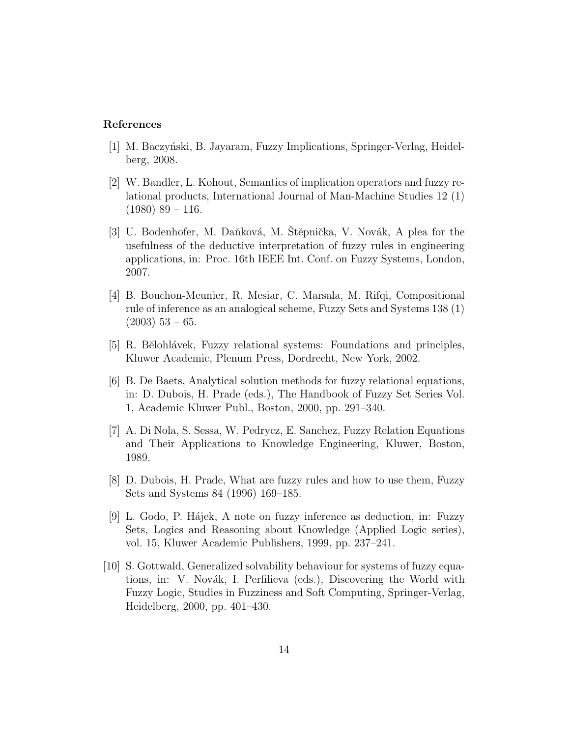## References

- [1] M. Baczyński, B. Jayaram, Fuzzy Implications, Springer-Verlag, Heidelberg, 2008.
- [2] W. Bandler, L. Kohout, Semantics of implication operators and fuzzy relational products, International Journal of Man-Machine Studies 12 (1)  $(1980)$  89 – 116.
- [3] U. Bodenhofer, M. Daňková, M. Stěpnička, V. Novák, A plea for the usefulness of the deductive interpretation of fuzzy rules in engineering applications, in: Proc. 16th IEEE Int. Conf. on Fuzzy Systems, London, 2007.
- [4] B. Bouchon-Meunier, R. Mesiar, C. Marsala, M. Rifqi, Compositional rule of inference as an analogical scheme, Fuzzy Sets and Systems 138 (1)  $(2003)$  53 – 65.
- [5] R. Bělohlávek, Fuzzy relational systems: Foundations and principles, Kluwer Academic, Plenum Press, Dordrecht, New York, 2002.
- [6] B. De Baets, Analytical solution methods for fuzzy relational equations, in: D. Dubois, H. Prade (eds.), The Handbook of Fuzzy Set Series Vol. 1, Academic Kluwer Publ., Boston, 2000, pp. 291–340.
- [7] A. Di Nola, S. Sessa, W. Pedrycz, E. Sanchez, Fuzzy Relation Equations and Their Applications to Knowledge Engineering, Kluwer, Boston, 1989.
- [8] D. Dubois, H. Prade, What are fuzzy rules and how to use them, Fuzzy Sets and Systems 84 (1996) 169–185.
- [9] L. Godo, P. Hájek, A note on fuzzy inference as deduction, in: Fuzzy Sets, Logics and Reasoning about Knowledge (Applied Logic series), vol. 15, Kluwer Academic Publishers, 1999, pp. 237–241.
- [10] S. Gottwald, Generalized solvability behaviour for systems of fuzzy equations, in: V. Novák, I. Perfilieva (eds.), Discovering the World with Fuzzy Logic, Studies in Fuzziness and Soft Computing, Springer-Verlag, Heidelberg, 2000, pp. 401–430.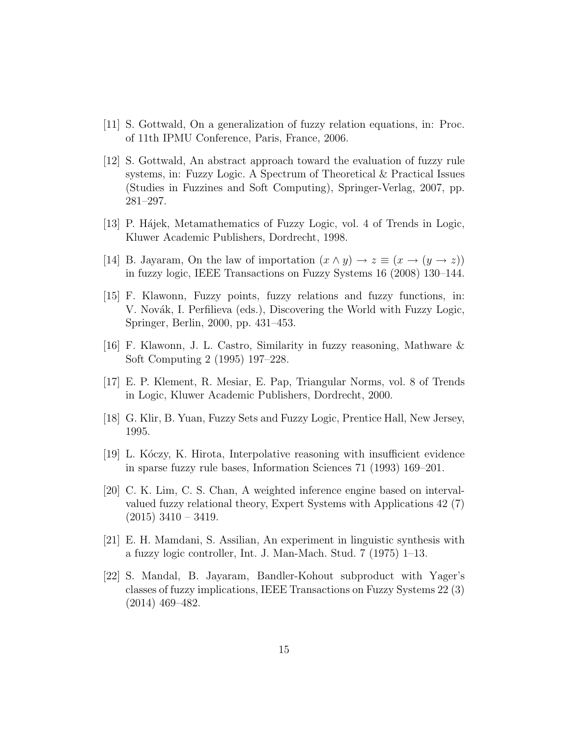- [11] S. Gottwald, On a generalization of fuzzy relation equations, in: Proc. of 11th IPMU Conference, Paris, France, 2006.
- [12] S. Gottwald, An abstract approach toward the evaluation of fuzzy rule systems, in: Fuzzy Logic. A Spectrum of Theoretical & Practical Issues (Studies in Fuzzines and Soft Computing), Springer-Verlag, 2007, pp. 281–297.
- [13] P. Hájek, Metamathematics of Fuzzy Logic, vol. 4 of Trends in Logic, Kluwer Academic Publishers, Dordrecht, 1998.
- [14] B. Jayaram, On the law of importation  $(x \wedge y) \rightarrow z \equiv (x \rightarrow (y \rightarrow z))$ in fuzzy logic, IEEE Transactions on Fuzzy Systems 16 (2008) 130–144.
- [15] F. Klawonn, Fuzzy points, fuzzy relations and fuzzy functions, in: V. Novák, I. Perfilieva (eds.), Discovering the World with Fuzzy Logic, Springer, Berlin, 2000, pp. 431–453.
- [16] F. Klawonn, J. L. Castro, Similarity in fuzzy reasoning, Mathware & Soft Computing 2 (1995) 197–228.
- [17] E. P. Klement, R. Mesiar, E. Pap, Triangular Norms, vol. 8 of Trends in Logic, Kluwer Academic Publishers, Dordrecht, 2000.
- [18] G. Klir, B. Yuan, Fuzzy Sets and Fuzzy Logic, Prentice Hall, New Jersey, 1995.
- [19] L. Kóczy, K. Hirota, Interpolative reasoning with insufficient evidence in sparse fuzzy rule bases, Information Sciences 71 (1993) 169–201.
- [20] C. K. Lim, C. S. Chan, A weighted inference engine based on intervalvalued fuzzy relational theory, Expert Systems with Applications 42 (7)  $(2015)$  3410 – 3419.
- [21] E. H. Mamdani, S. Assilian, An experiment in linguistic synthesis with a fuzzy logic controller, Int. J. Man-Mach. Stud. 7 (1975) 1–13.
- [22] S. Mandal, B. Jayaram, Bandler-Kohout subproduct with Yager's classes of fuzzy implications, IEEE Transactions on Fuzzy Systems 22 (3) (2014) 469–482.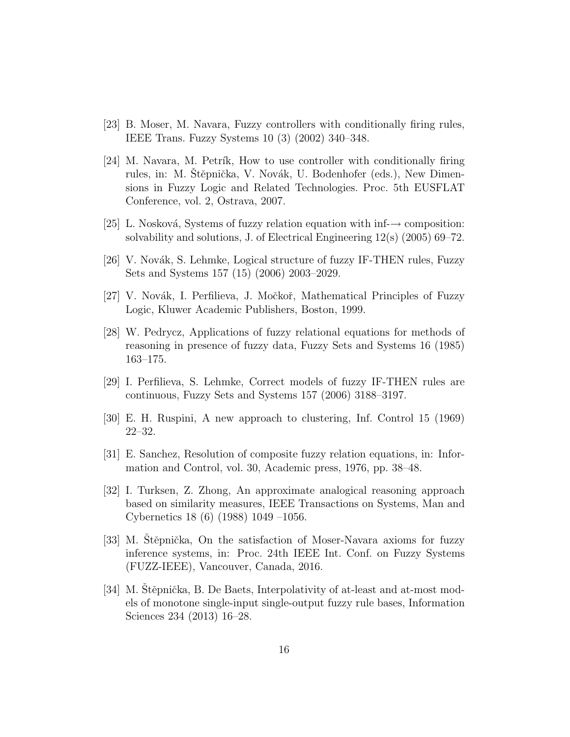- [23] B. Moser, M. Navara, Fuzzy controllers with conditionally firing rules, IEEE Trans. Fuzzy Systems 10 (3) (2002) 340–348.
- $[24]$  M. Navara, M. Petrik, How to use controller with conditionally firing rules, in: M. Stěpnička, V. Novák, U. Bodenhofer (eds.), New Dimensions in Fuzzy Logic and Related Technologies. Proc. 5th EUSFLAT Conference, vol. 2, Ostrava, 2007.
- [25] L. Nosková, Systems of fuzzy relation equation with inf- $\rightarrow$  composition: solvability and solutions, J. of Electrical Engineering 12(s) (2005) 69–72.
- [26] V. Novák, S. Lehmke, Logical structure of fuzzy IF-THEN rules, Fuzzy Sets and Systems 157 (15) (2006) 2003–2029.
- [27] V. Novák, I. Perfilieva, J. Močkoř, Mathematical Principles of Fuzzy Logic, Kluwer Academic Publishers, Boston, 1999.
- [28] W. Pedrycz, Applications of fuzzy relational equations for methods of reasoning in presence of fuzzy data, Fuzzy Sets and Systems 16 (1985) 163–175.
- [29] I. Perfilieva, S. Lehmke, Correct models of fuzzy IF-THEN rules are continuous, Fuzzy Sets and Systems 157 (2006) 3188–3197.
- [30] E. H. Ruspini, A new approach to clustering, Inf. Control 15 (1969) 22–32.
- [31] E. Sanchez, Resolution of composite fuzzy relation equations, in: Information and Control, vol. 30, Academic press, 1976, pp. 38–48.
- [32] I. Turksen, Z. Zhong, An approximate analogical reasoning approach based on similarity measures, IEEE Transactions on Systems, Man and Cybernetics 18 (6) (1988) 1049 –1056.
- [33] M. Stěpnička, On the satisfaction of Moser-Navara axioms for fuzzy inference systems, in: Proc. 24th IEEE Int. Conf. on Fuzzy Systems (FUZZ-IEEE), Vancouver, Canada, 2016.
- [34] M. Stěpnička, B. De Baets, Interpolativity of at-least and at-most models of monotone single-input single-output fuzzy rule bases, Information Sciences 234 (2013) 16–28.